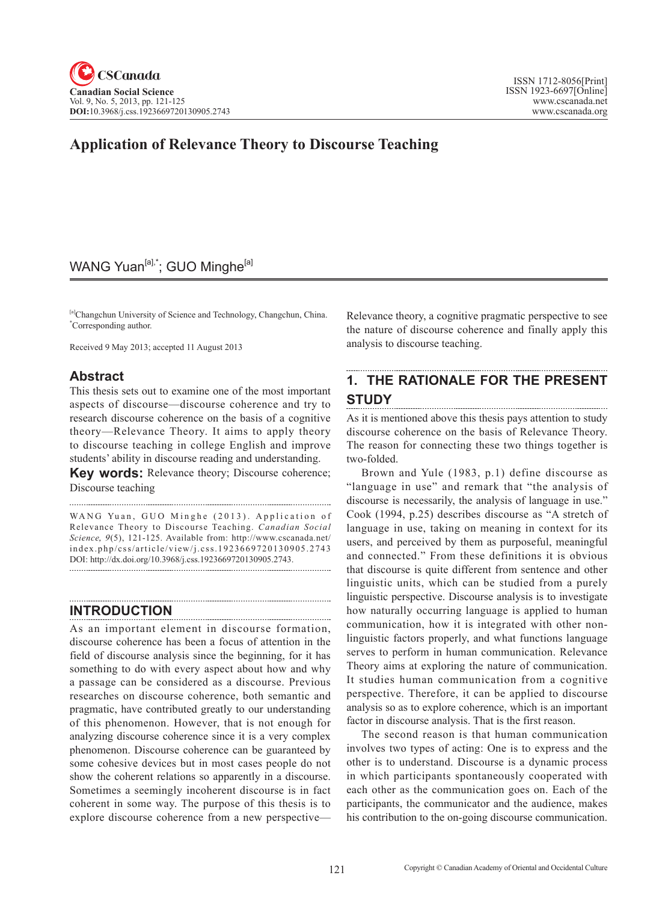## WANG Yuan<sup>[a],\*</sup>; GUO Minghe<sup>[a]</sup>

[a]Changchun University of Science and Technology, Changchun, China. \* Corresponding author.

Received 9 May 2013; accepted 11 August 2013

## **Abstract**

This thesis sets out to examine one of the most important aspects of discourse—discourse coherence and try to research discourse coherence on the basis of a cognitive theory—Relevance Theory. It aims to apply theory to discourse teaching in college English and improve students' ability in discourse reading and understanding.

**Key words:** Relevance theory; Discourse coherence; Discourse teaching

WANG Yuan, GUO Minghe (2013). Application of Relevance Theory to Discourse Teaching. *Canadian Social Science*, 9(5), 121-125. Available from: http://www.cscanada.net/ index.php/css/article/view/j.css.1923669720130905.2743 DOI: http://dx.doi.org/10.3968/j.css.1923669720130905.2743.

## **INTRODUCTION**

As an important element in discourse formation, discourse coherence has been a focus of attention in the field of discourse analysis since the beginning, for it has something to do with every aspect about how and why a passage can be considered as a discourse. Previous researches on discourse coherence, both semantic and pragmatic, have contributed greatly to our understanding of this phenomenon. However, that is not enough for analyzing discourse coherence since it is a very complex phenomenon. Discourse coherence can be guaranteed by some cohesive devices but in most cases people do not show the coherent relations so apparently in a discourse. Sometimes a seemingly incoherent discourse is in fact coherent in some way. The purpose of this thesis is to explore discourse coherence from a new perspectiveRelevance theory, a cognitive pragmatic perspective to see the nature of discourse coherence and finally apply this analysis to discourse teaching.

# **1. THE RATIONALE FOR THE PRESENT STUDY**

As it is mentioned above this thesis pays attention to study discourse coherence on the basis of Relevance Theory. The reason for connecting these two things together is two-folded.

Brown and Yule (1983, p.1) define discourse as "language in use" and remark that "the analysis of discourse is necessarily, the analysis of language in use." Cook (1994, p.25) describes discourse as "A stretch of language in use, taking on meaning in context for its users, and perceived by them as purposeful, meaningful and connected." From these definitions it is obvious that discourse is quite different from sentence and other linguistic units, which can be studied from a purely linguistic perspective. Discourse analysis is to investigate how naturally occurring language is applied to human communication, how it is integrated with other nonlinguistic factors properly, and what functions language serves to perform in human communication. Relevance Theory aims at exploring the nature of communication. It studies human communication from a cognitive perspective. Therefore, it can be applied to discourse analysis so as to explore coherence, which is an important factor in discourse analysis. That is the first reason.

The second reason is that human communication involves two types of acting: One is to express and the other is to understand. Discourse is a dynamic process in which participants spontaneously cooperated with each other as the communication goes on. Each of the participants, the communicator and the audience, makes his contribution to the on-going discourse communication.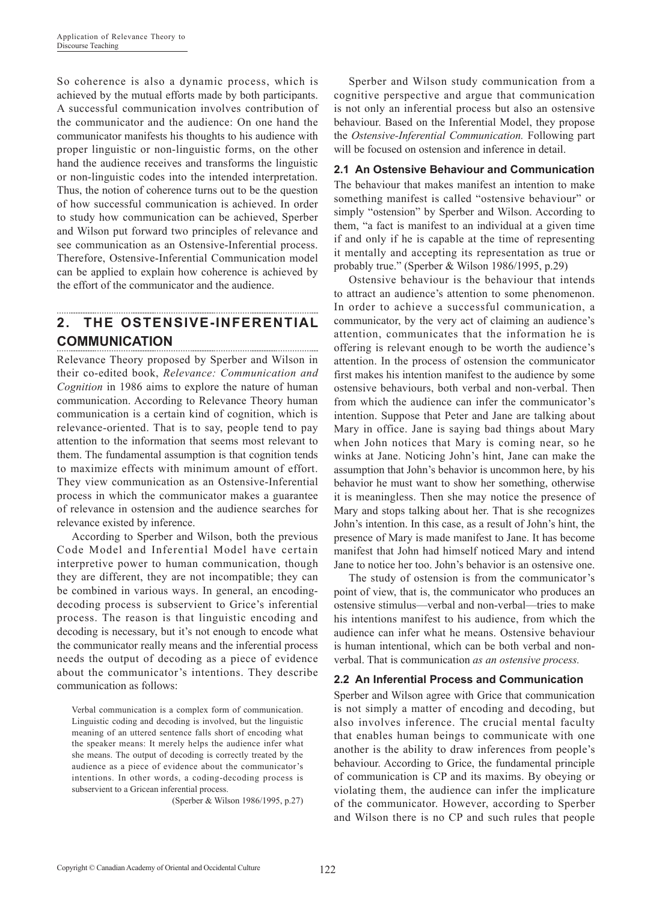So coherence is also a dynamic process, which is achieved by the mutual efforts made by both participants. A successful communication involves contribution of the communicator and the audience: On one hand the communicator manifests his thoughts to his audience with proper linguistic or non-linguistic forms, on the other hand the audience receives and transforms the linguistic or non-linguistic codes into the intended interpretation. Thus, the notion of coherence turns out to be the question of how successful communication is achieved. In order to study how communication can be achieved, Sperber and Wilson put forward two principles of relevance and see communication as an Ostensive-Inferential process. Therefore, Ostensive-Inferential Communication model can be applied to explain how coherence is achieved by the effort of the communicator and the audience.

#### **2. THE OSTENSIVE-INFERENTIAL COMMUNICATION**

Relevance Theory proposed by Sperber and Wilson in their co-edited book, *Relevance: Communication and Cognition* in 1986 aims to explore the nature of human communication. According to Relevance Theory human communication is a certain kind of cognition, which is relevance-oriented. That is to say, people tend to pay attention to the information that seems most relevant to them. The fundamental assumption is that cognition tends to maximize effects with minimum amount of effort. They view communication as an Ostensive-Inferential process in which the communicator makes a guarantee of relevance in ostension and the audience searches for relevance existed by inference.

According to Sperber and Wilson, both the previous Code Model and Inferential Model have certain interpretive power to human communication, though they are different, they are not incompatible; they can be combined in various ways. In general, an encodingdecoding process is subservient to Grice's inferential process. The reason is that linguistic encoding and decoding is necessary, but it's not enough to encode what the communicator really means and the inferential process needs the output of decoding as a piece of evidence about the communicator's intentions. They describe communication as follows:

Verbal communication is a complex form of communication. Linguistic coding and decoding is involved, but the linguistic meaning of an uttered sentence falls short of encoding what the speaker means: It merely helps the audience infer what she means. The output of decoding is correctly treated by the audience as a piece of evidence about the communicator's intentions. In other words, a coding-decoding process is subservient to a Gricean inferential process.

(Sperber & Wilson 1986/1995, p.27)

Sperber and Wilson study communication from a cognitive perspective and argue that communication is not only an inferential process but also an ostensive behaviour. Based on the Inferential Model, they propose the *Ostensive-Inferential Communication.* Following part will be focused on ostension and inference in detail.

## **2.1 An Ostensive Behaviour and Communication**

The behaviour that makes manifest an intention to make something manifest is called "ostensive behaviour" or simply "ostension" by Sperber and Wilson. According to them, "a fact is manifest to an individual at a given time if and only if he is capable at the time of representing it mentally and accepting its representation as true or probably true." (Sperber & Wilson 1986/1995, p.29)

Ostensive behaviour is the behaviour that intends to attract an audience's attention to some phenomenon. In order to achieve a successful communication, a communicator, by the very act of claiming an audience's attention, communicates that the information he is offering is relevant enough to be worth the audience's attention. In the process of ostension the communicator first makes his intention manifest to the audience by some ostensive behaviours, both verbal and non-verbal. Then from which the audience can infer the communicator's intention. Suppose that Peter and Jane are talking about Mary in office. Jane is saying bad things about Mary when John notices that Mary is coming near, so he winks at Jane. Noticing John's hint, Jane can make the assumption that John's behavior is uncommon here, by his behavior he must want to show her something, otherwise it is meaningless. Then she may notice the presence of Mary and stops talking about her. That is she recognizes John's intention. In this case, as a result of John's hint, the presence of Mary is made manifest to Jane. It has become manifest that John had himself noticed Mary and intend Jane to notice her too. John's behavior is an ostensive one.

The study of ostension is from the communicator's point of view, that is, the communicator who produces an ostensive stimulus—verbal and non-verbal—tries to make his intentions manifest to his audience, from which the audience can infer what he means. Ostensive behaviour is human intentional, which can be both verbal and nonverbal. That is communication *as an ostensive process.*

## **2.2 An Inferential Process and Communication**

Sperber and Wilson agree with Grice that communication is not simply a matter of encoding and decoding, but also involves inference. The crucial mental faculty that enables human beings to communicate with one another is the ability to draw inferences from people's behaviour. According to Grice, the fundamental principle of communication is CP and its maxims. By obeying or violating them, the audience can infer the implicature of the communicator. However, according to Sperber and Wilson there is no CP and such rules that people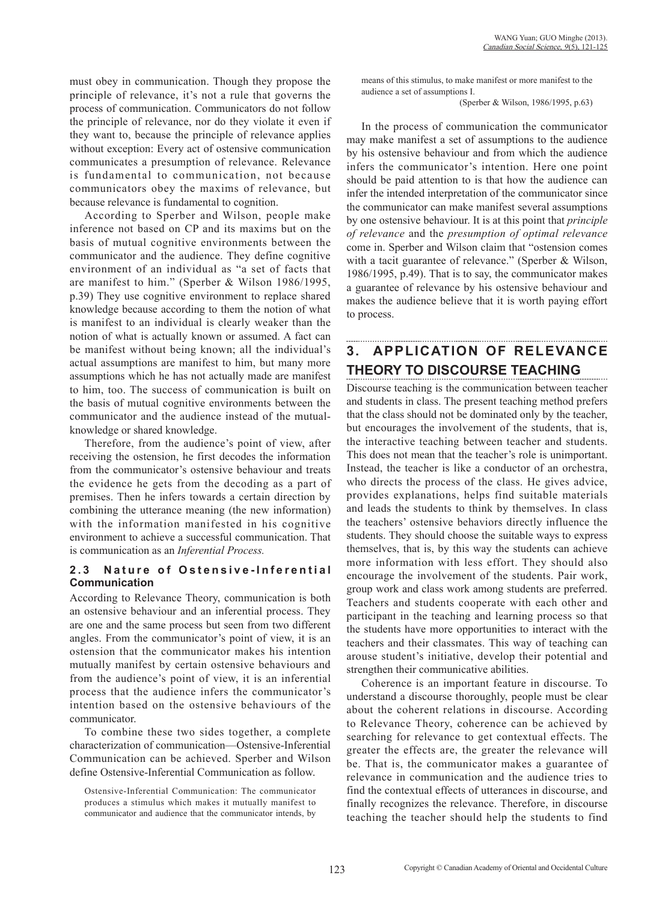must obey in communication. Though they propose the principle of relevance, it's not a rule that governs the process of communication. Communicators do not follow the principle of relevance, nor do they violate it even if they want to, because the principle of relevance applies without exception: Every act of ostensive communication communicates a presumption of relevance. Relevance is fundamental to communication, not because communicators obey the maxims of relevance, but because relevance is fundamental to cognition.

According to Sperber and Wilson, people make inference not based on CP and its maxims but on the basis of mutual cognitive environments between the communicator and the audience. They define cognitive environment of an individual as "a set of facts that are manifest to him." (Sperber & Wilson 1986/1995, p.39) They use cognitive environment to replace shared knowledge because according to them the notion of what is manifest to an individual is clearly weaker than the notion of what is actually known or assumed. A fact can be manifest without being known; all the individual's actual assumptions are manifest to him, but many more assumptions which he has not actually made are manifest to him, too. The success of communication is built on the basis of mutual cognitive environments between the communicator and the audience instead of the mutualknowledge or shared knowledge.

Therefore, from the audience's point of view, after receiving the ostension, he first decodes the information from the communicator's ostensive behaviour and treats the evidence he gets from the decoding as a part of premises. Then he infers towards a certain direction by combining the utterance meaning (the new information) with the information manifested in his cognitive environment to achieve a successful communication. That is communication as an *Inferential Process.*

### **2.3 Nature of Ostensive-Inferential Communication**

According to Relevance Theory, communication is both an ostensive behaviour and an inferential process. They are one and the same process but seen from two different angles. From the communicator's point of view, it is an ostension that the communicator makes his intention mutually manifest by certain ostensive behaviours and from the audience's point of view, it is an inferential process that the audience infers the communicator's intention based on the ostensive behaviours of the communicator.

To combine these two sides together, a complete characterization of communication—Ostensive-Inferential Communication can be achieved. Sperber and Wilson define Ostensive-Inferential Communication as follow.

Ostensive-Inferential Communication: The communicator produces a stimulus which makes it mutually manifest to communicator and audience that the communicator intends, by means of this stimulus, to make manifest or more manifest to the audience a set of assumptions I.

(Sperber & Wilson, 1986/1995, p.63)

In the process of communication the communicator may make manifest a set of assumptions to the audience by his ostensive behaviour and from which the audience infers the communicator's intention. Here one point should be paid attention to is that how the audience can infer the intended interpretation of the communicator since the communicator can make manifest several assumptions by one ostensive behaviour. It is at this point that *principle of relevance* and the *presumption of optimal relevance* come in. Sperber and Wilson claim that "ostension comes with a tacit guarantee of relevance." (Sperber & Wilson, 1986/1995, p.49). That is to say, the communicator makes a guarantee of relevance by his ostensive behaviour and makes the audience believe that it is worth paying effort to process.

# **3. APPLICATION OF RELEVANCE THEORY TO DISCOURSE TEACHING**

Discourse teaching is the communication between teacher and students in class. The present teaching method prefers that the class should not be dominated only by the teacher, but encourages the involvement of the students, that is, the interactive teaching between teacher and students. This does not mean that the teacher's role is unimportant. Instead, the teacher is like a conductor of an orchestra, who directs the process of the class. He gives advice, provides explanations, helps find suitable materials and leads the students to think by themselves. In class the teachers' ostensive behaviors directly influence the students. They should choose the suitable ways to express themselves, that is, by this way the students can achieve more information with less effort. They should also encourage the involvement of the students. Pair work, group work and class work among students are preferred. Teachers and students cooperate with each other and participant in the teaching and learning process so that the students have more opportunities to interact with the teachers and their classmates. This way of teaching can arouse student's initiative, develop their potential and strengthen their communicative abilities.

Coherence is an important feature in discourse. To understand a discourse thoroughly, people must be clear about the coherent relations in discourse. According to Relevance Theory, coherence can be achieved by searching for relevance to get contextual effects. The greater the effects are, the greater the relevance will be. That is, the communicator makes a guarantee of relevance in communication and the audience tries to find the contextual effects of utterances in discourse, and finally recognizes the relevance. Therefore, in discourse teaching the teacher should help the students to find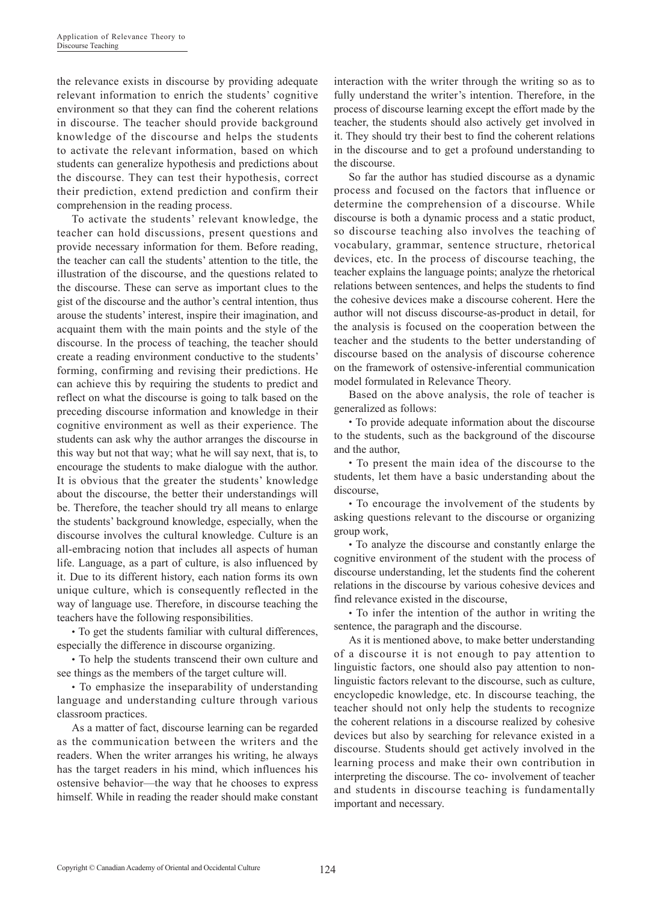the relevance exists in discourse by providing adequate relevant information to enrich the students' cognitive environment so that they can find the coherent relations in discourse. The teacher should provide background knowledge of the discourse and helps the students to activate the relevant information, based on which students can generalize hypothesis and predictions about the discourse. They can test their hypothesis, correct their prediction, extend prediction and confirm their comprehension in the reading process.

To activate the students' relevant knowledge, the teacher can hold discussions, present questions and provide necessary information for them. Before reading, the teacher can call the students' attention to the title, the illustration of the discourse, and the questions related to the discourse. These can serve as important clues to the gist of the discourse and the author's central intention, thus arouse the students' interest, inspire their imagination, and acquaint them with the main points and the style of the discourse. In the process of teaching, the teacher should create a reading environment conductive to the students' forming, confirming and revising their predictions. He can achieve this by requiring the students to predict and reflect on what the discourse is going to talk based on the preceding discourse information and knowledge in their cognitive environment as well as their experience. The students can ask why the author arranges the discourse in this way but not that way; what he will say next, that is, to encourage the students to make dialogue with the author. It is obvious that the greater the students' knowledge about the discourse, the better their understandings will be. Therefore, the teacher should try all means to enlarge the students' background knowledge, especially, when the discourse involves the cultural knowledge. Culture is an all-embracing notion that includes all aspects of human life. Language, as a part of culture, is also influenced by it. Due to its different history, each nation forms its own unique culture, which is consequently reflected in the way of language use. Therefore, in discourse teaching the teachers have the following responsibilities.

• To get the students familiar with cultural differences, especially the difference in discourse organizing.

• To help the students transcend their own culture and see things as the members of the target culture will.

• To emphasize the inseparability of understanding language and understanding culture through various classroom practices.

As a matter of fact, discourse learning can be regarded as the communication between the writers and the readers. When the writer arranges his writing, he always has the target readers in his mind, which influences his ostensive behavior—the way that he chooses to express himself. While in reading the reader should make constant

interaction with the writer through the writing so as to fully understand the writer's intention. Therefore, in the process of discourse learning except the effort made by the teacher, the students should also actively get involved in it. They should try their best to find the coherent relations in the discourse and to get a profound understanding to the discourse.

So far the author has studied discourse as a dynamic process and focused on the factors that influence or determine the comprehension of a discourse. While discourse is both a dynamic process and a static product, so discourse teaching also involves the teaching of vocabulary, grammar, sentence structure, rhetorical devices, etc. In the process of discourse teaching, the teacher explains the language points; analyze the rhetorical relations between sentences, and helps the students to find the cohesive devices make a discourse coherent. Here the author will not discuss discourse-as-product in detail, for the analysis is focused on the cooperation between the teacher and the students to the better understanding of discourse based on the analysis of discourse coherence on the framework of ostensive-inferential communication model formulated in Relevance Theory.

Based on the above analysis, the role of teacher is generalized as follows:

● To provide adequate information about the discourse to the students, such as the background of the discourse and the author,

• To present the main idea of the discourse to the students, let them have a basic understanding about the discourse,

• To encourage the involvement of the students by asking questions relevant to the discourse or organizing group work,

• To analyze the discourse and constantly enlarge the cognitive environment of the student with the process of discourse understanding, let the students find the coherent relations in the discourse by various cohesive devices and find relevance existed in the discourse,

• To infer the intention of the author in writing the sentence, the paragraph and the discourse.

As it is mentioned above, to make better understanding of a discourse it is not enough to pay attention to linguistic factors, one should also pay attention to nonlinguistic factors relevant to the discourse, such as culture, encyclopedic knowledge, etc. In discourse teaching, the teacher should not only help the students to recognize the coherent relations in a discourse realized by cohesive devices but also by searching for relevance existed in a discourse. Students should get actively involved in the learning process and make their own contribution in interpreting the discourse. The co- involvement of teacher and students in discourse teaching is fundamentally important and necessary.